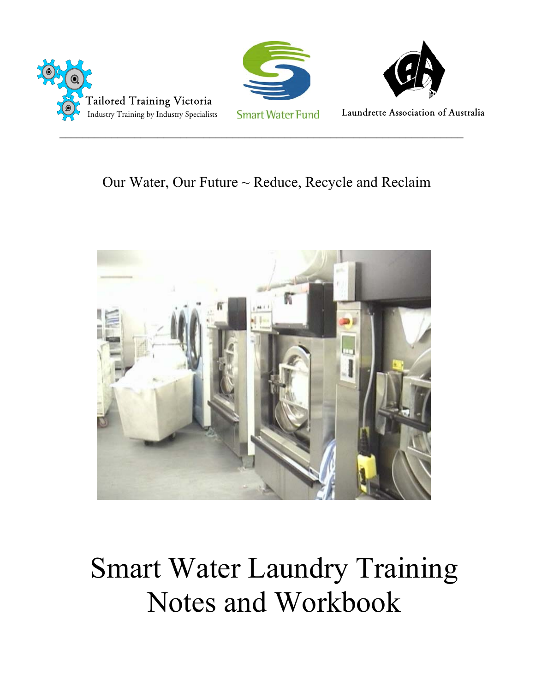





Laundrette Association of Australia

# Our Water, Our Future  $\sim$  Reduce, Recycle and Reclaim



# Smart Water Laundry Training Notes and Workbook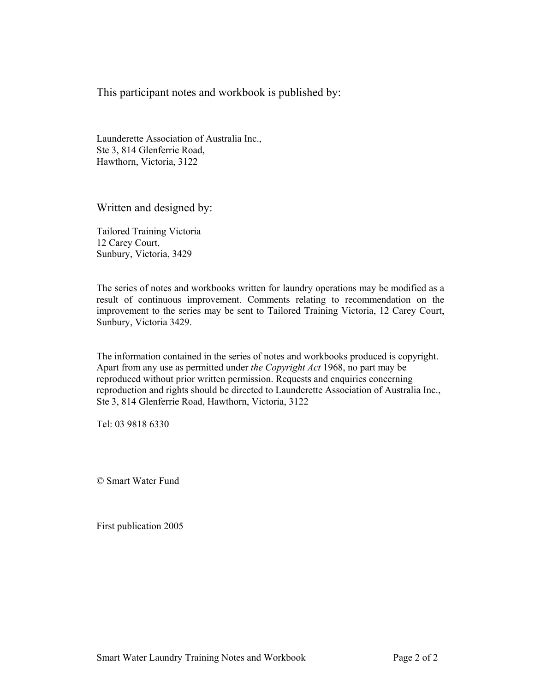This participant notes and workbook is published by:

Launderette Association of Australia Inc., Ste 3, 814 Glenferrie Road, Hawthorn, Victoria, 3122

Written and designed by:

Tailored Training Victoria 12 Carey Court, Sunbury, Victoria, 3429

The series of notes and workbooks written for laundry operations may be modified as a result of continuous improvement. Comments relating to recommendation on the improvement to the series may be sent to Tailored Training Victoria, 12 Carey Court, Sunbury, Victoria 3429.

The information contained in the series of notes and workbooks produced is copyright. Apart from any use as permitted under *the Copyright Act* 1968, no part may be reproduced without prior written permission. Requests and enquiries concerning reproduction and rights should be directed to Launderette Association of Australia Inc., Ste 3, 814 Glenferrie Road, Hawthorn, Victoria, 3122

Tel: 03 9818 6330

© Smart Water Fund

First publication 2005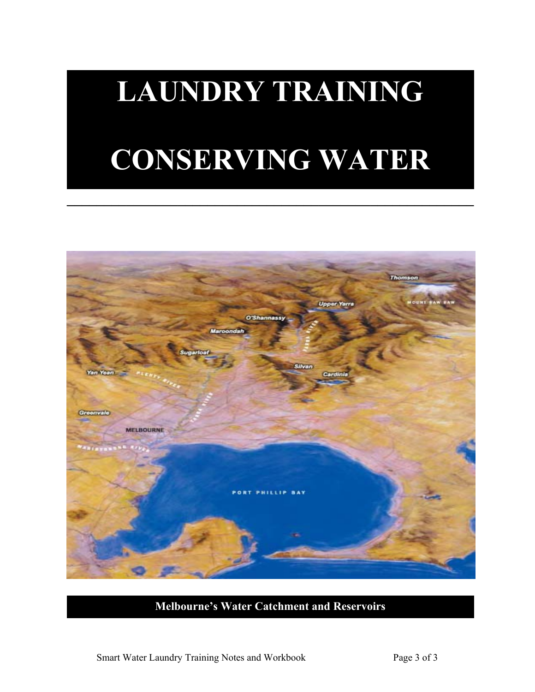# **LAUNDRY TRAINING CONSERVING WATER**

**\_\_\_\_\_\_\_\_\_\_\_\_\_\_\_\_\_\_\_\_\_\_\_\_\_\_\_\_\_\_\_\_\_\_\_\_\_\_\_\_\_\_\_\_\_\_\_\_\_\_\_\_\_\_\_**



# **Melbourne's Water Catchment and Reservoirs**

Smart Water Laundry Training Notes and Workbook Page 3 of 3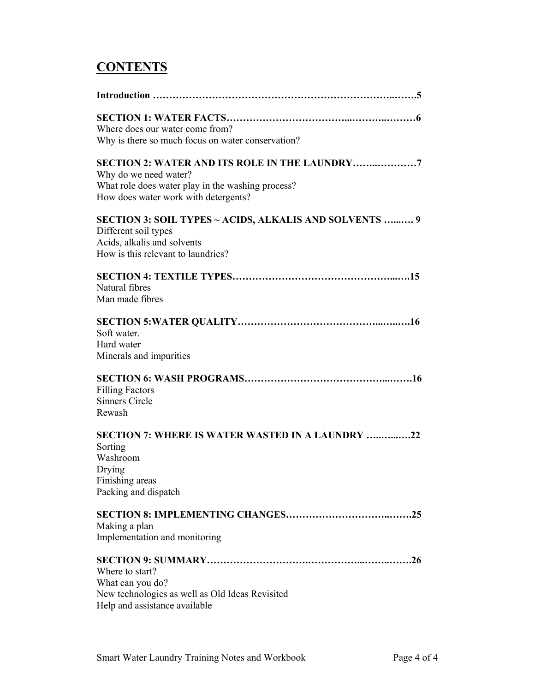# **CONTENTS**

| Where does our water come from?<br>Why is there so much focus on water conservation?                                                                                |
|---------------------------------------------------------------------------------------------------------------------------------------------------------------------|
| SECTION 2: WATER AND ITS ROLE IN THE LAUNDRY7<br>Why do we need water?<br>What role does water play in the washing process?<br>How does water work with detergents? |
| SECTION 3: SOIL TYPES ~ ACIDS, ALKALIS AND SOLVENTS  9<br>Different soil types<br>Acids, alkalis and solvents<br>How is this relevant to laundries?                 |
| Natural fibres<br>Man made fibres                                                                                                                                   |
| Soft water.<br>Hard water<br>Minerals and impurities                                                                                                                |
| <b>Filling Factors</b><br><b>Sinners Circle</b><br>Rewash                                                                                                           |
| <b>SECTION 7: WHERE IS WATER WASTED IN A LAUNDRY 22</b><br>Sorting<br>Washroom<br>Drying<br>Finishing areas<br>Packing and dispatch                                 |
| Making a plan<br>Implementation and monitoring                                                                                                                      |
| Where to start?<br>What can you do?<br>New technologies as well as Old Ideas Revisited<br>Help and assistance available                                             |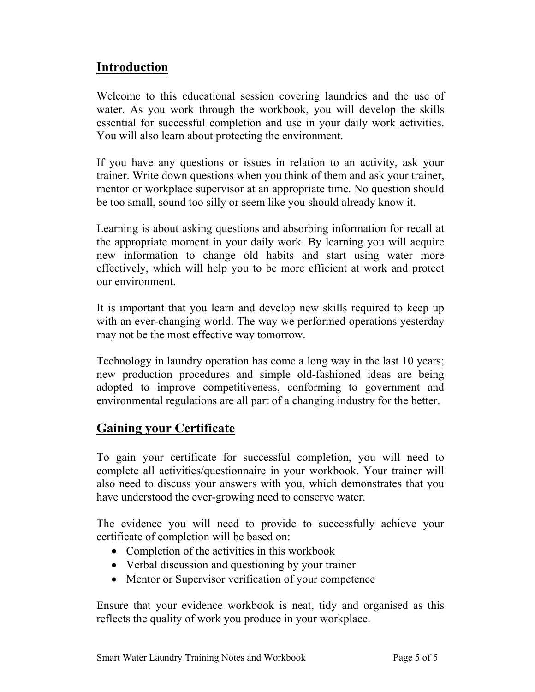# **Introduction**

Welcome to this educational session covering laundries and the use of water. As you work through the workbook, you will develop the skills essential for successful completion and use in your daily work activities. You will also learn about protecting the environment.

If you have any questions or issues in relation to an activity, ask your trainer. Write down questions when you think of them and ask your trainer, mentor or workplace supervisor at an appropriate time. No question should be too small, sound too silly or seem like you should already know it.

Learning is about asking questions and absorbing information for recall at the appropriate moment in your daily work. By learning you will acquire new information to change old habits and start using water more effectively, which will help you to be more efficient at work and protect our environment.

It is important that you learn and develop new skills required to keep up with an ever-changing world. The way we performed operations yesterday may not be the most effective way tomorrow.

Technology in laundry operation has come a long way in the last 10 years; new production procedures and simple old-fashioned ideas are being adopted to improve competitiveness, conforming to government and environmental regulations are all part of a changing industry for the better.

# **Gaining your Certificate**

To gain your certificate for successful completion, you will need to complete all activities/questionnaire in your workbook. Your trainer will also need to discuss your answers with you, which demonstrates that you have understood the ever-growing need to conserve water.

The evidence you will need to provide to successfully achieve your certificate of completion will be based on:

- Completion of the activities in this workbook
- Verbal discussion and questioning by your trainer
- Mentor or Supervisor verification of your competence

Ensure that your evidence workbook is neat, tidy and organised as this reflects the quality of work you produce in your workplace.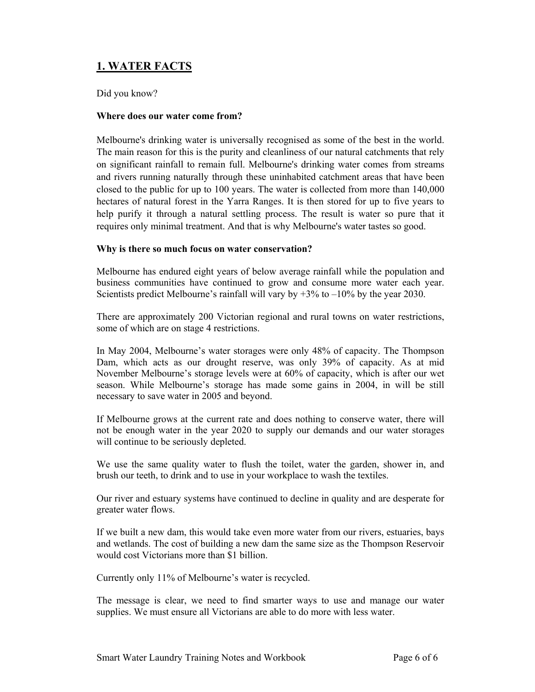# **1. WATER FACTS**

# Did you know?

# **Where does our water come from?**

Melbourne's drinking water is universally recognised as some of the best in the world. The main reason for this is the purity and cleanliness of our natural catchments that rely on significant rainfall to remain full. Melbourne's drinking water comes from streams and rivers running naturally through these uninhabited catchment areas that have been closed to the public for up to 100 years. The water is collected from more than 140,000 hectares of natural forest in the Yarra Ranges. It is then stored for up to five years to help purify it through a natural settling process. The result is water so pure that it requires only minimal treatment. And that is why Melbourne's water tastes so good.

# **Why is there so much focus on water conservation?**

Melbourne has endured eight years of below average rainfall while the population and business communities have continued to grow and consume more water each year. Scientists predict Melbourne's rainfall will vary by  $+3\%$  to  $-10\%$  by the year 2030.

There are approximately 200 Victorian regional and rural towns on water restrictions, some of which are on stage 4 restrictions.

In May 2004, Melbourne's water storages were only 48% of capacity. The Thompson Dam, which acts as our drought reserve, was only 39% of capacity. As at mid November Melbourne's storage levels were at 60% of capacity, which is after our wet season. While Melbourne's storage has made some gains in 2004, in will be still necessary to save water in 2005 and beyond.

If Melbourne grows at the current rate and does nothing to conserve water, there will not be enough water in the year 2020 to supply our demands and our water storages will continue to be seriously depleted.

We use the same quality water to flush the toilet, water the garden, shower in, and brush our teeth, to drink and to use in your workplace to wash the textiles.

Our river and estuary systems have continued to decline in quality and are desperate for greater water flows.

If we built a new dam, this would take even more water from our rivers, estuaries, bays and wetlands. The cost of building a new dam the same size as the Thompson Reservoir would cost Victorians more than \$1 billion.

Currently only 11% of Melbourne's water is recycled.

The message is clear, we need to find smarter ways to use and manage our water supplies. We must ensure all Victorians are able to do more with less water.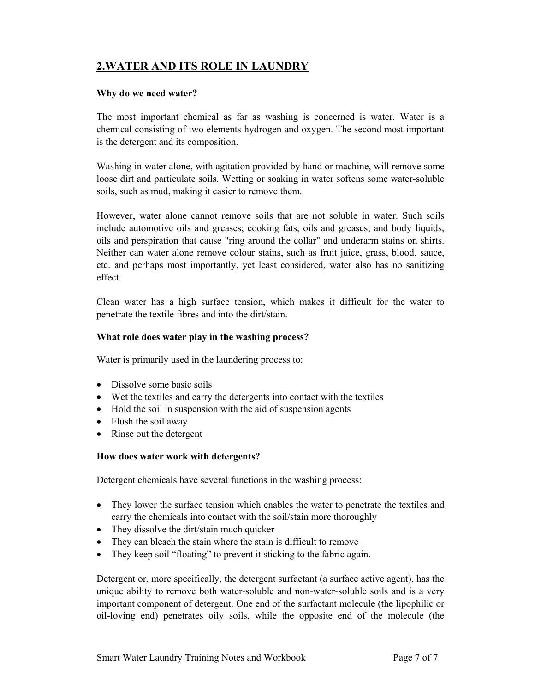# **2.WATER AND ITS ROLE IN LAUNDRY**

# **Why do we need water?**

The most important chemical as far as washing is concerned is water. Water is a chemical consisting of two elements hydrogen and oxygen. The second most important is the detergent and its composition.

Washing in water alone, with agitation provided by hand or machine, will remove some loose dirt and particulate soils. Wetting or soaking in water softens some water-soluble soils, such as mud, making it easier to remove them.

However, water alone cannot remove soils that are not soluble in water. Such soils include automotive oils and greases; cooking fats, oils and greases; and body liquids, oils and perspiration that cause "ring around the collar" and underarm stains on shirts. Neither can water alone remove colour stains, such as fruit juice, grass, blood, sauce, etc. and perhaps most importantly, yet least considered, water also has no sanitizing effect.

Clean water has a high surface tension, which makes it difficult for the water to penetrate the textile fibres and into the dirt/stain.

# **What role does water play in the washing process?**

Water is primarily used in the laundering process to:

- Dissolve some basic soils
- Wet the textiles and carry the detergents into contact with the textiles
- Hold the soil in suspension with the aid of suspension agents
- Flush the soil away
- Rinse out the detergent

# **How does water work with detergents?**

Detergent chemicals have several functions in the washing process:

- They lower the surface tension which enables the water to penetrate the textiles and carry the chemicals into contact with the soil/stain more thoroughly
- They dissolve the dirt/stain much quicker
- They can bleach the stain where the stain is difficult to remove
- They keep soil "floating" to prevent it sticking to the fabric again.

Detergent or, more specifically, the detergent surfactant (a surface active agent), has the unique ability to remove both water-soluble and non-water-soluble soils and is a very important component of detergent. One end of the surfactant molecule (the lipophilic or oil-loving end) penetrates oily soils, while the opposite end of the molecule (the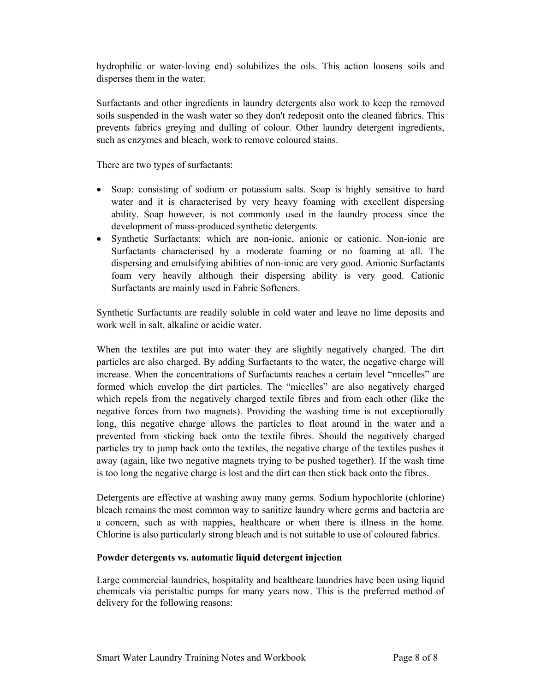hydrophilic or water-loving end) solubilizes the oils. This action loosens soils and disperses them in the water.

Surfactants and other ingredients in laundry detergents also work to keep the removed soils suspended in the wash water so they don't redeposit onto the cleaned fabrics. This prevents fabrics greying and dulling of colour. Other laundry detergent ingredients, such as enzymes and bleach, work to remove coloured stains.

There are two types of surfactants:

- Soap: consisting of sodium or potassium salts. Soap is highly sensitive to hard water and it is characterised by very heavy foaming with excellent dispersing ability. Soap however, is not commonly used in the laundry process since the development of mass-produced synthetic detergents.
- Synthetic Surfactants: which are non-ionic, anionic or cationic. Non-ionic are Surfactants characterised by a moderate foaming or no foaming at all. The dispersing and emulsifying abilities of non-ionic are very good. Anionic Surfactants foam very heavily although their dispersing ability is very good. Cationic Surfactants are mainly used in Fabric Softeners.

Synthetic Surfactants are readily soluble in cold water and leave no lime deposits and work well in salt, alkaline or acidic water.

When the textiles are put into water they are slightly negatively charged. The dirt particles are also charged. By adding Surfactants to the water, the negative charge will increase. When the concentrations of Surfactants reaches a certain level "micelles" are formed which envelop the dirt particles. The "micelles" are also negatively charged which repels from the negatively charged textile fibres and from each other (like the negative forces from two magnets). Providing the washing time is not exceptionally long, this negative charge allows the particles to float around in the water and a prevented from sticking back onto the textile fibres. Should the negatively charged particles try to jump back onto the textiles, the negative charge of the textiles pushes it away (again, like two negative magnets trying to be pushed together). If the wash time is too long the negative charge is lost and the dirt can then stick back onto the fibres.

Detergents are effective at washing away many germs. Sodium hypochlorite (chlorine) bleach remains the most common way to sanitize laundry where germs and bacteria are a concern, such as with nappies, healthcare or when there is illness in the home. Chlorine is also particularly strong bleach and is not suitable to use of coloured fabrics.

# **Powder detergents vs. automatic liquid detergent injection**

Large commercial laundries, hospitality and healthcare laundries have been using liquid chemicals via peristaltic pumps for many years now. This is the preferred method of delivery for the following reasons: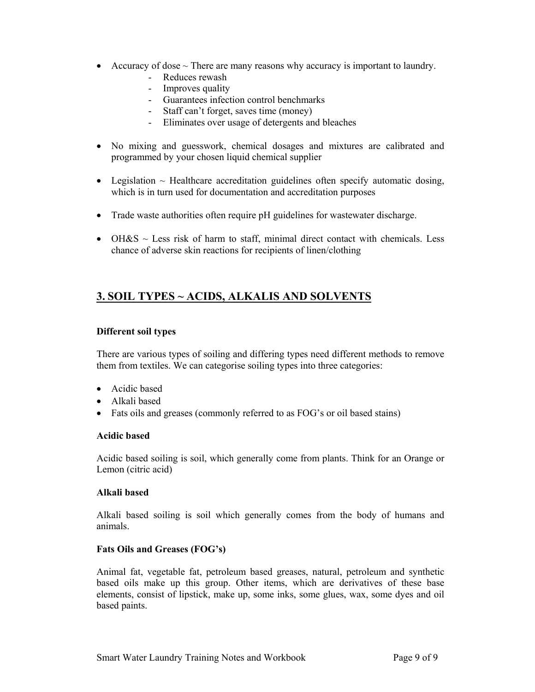- Accuracy of dose  $\sim$  There are many reasons why accuracy is important to laundry.
	- Reduces rewash
	- Improves quality
	- Guarantees infection control benchmarks
	- Staff can't forget, saves time (money)
	- Eliminates over usage of detergents and bleaches
- No mixing and guesswork, chemical dosages and mixtures are calibrated and programmed by your chosen liquid chemical supplier
- Legislation  $\sim$  Healthcare accreditation guidelines often specify automatic dosing, which is in turn used for documentation and accreditation purposes
- Trade waste authorities often require pH guidelines for wastewater discharge.
- OH&S  $\sim$  Less risk of harm to staff, minimal direct contact with chemicals. Less chance of adverse skin reactions for recipients of linen/clothing

# **3. SOIL TYPES ~ ACIDS, ALKALIS AND SOLVENTS**

# **Different soil types**

There are various types of soiling and differing types need different methods to remove them from textiles. We can categorise soiling types into three categories:

- Acidic based
- Alkali based
- Fats oils and greases (commonly referred to as FOG's or oil based stains)

# **Acidic based**

Acidic based soiling is soil, which generally come from plants. Think for an Orange or Lemon (citric acid)

# **Alkali based**

Alkali based soiling is soil which generally comes from the body of humans and animals.

# **Fats Oils and Greases (FOG's)**

Animal fat, vegetable fat, petroleum based greases, natural, petroleum and synthetic based oils make up this group. Other items, which are derivatives of these base elements, consist of lipstick, make up, some inks, some glues, wax, some dyes and oil based paints.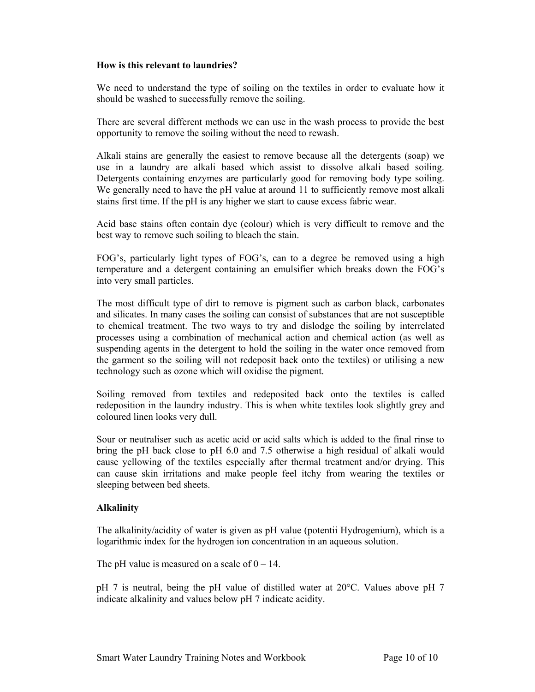# **How is this relevant to laundries?**

We need to understand the type of soiling on the textiles in order to evaluate how it should be washed to successfully remove the soiling.

There are several different methods we can use in the wash process to provide the best opportunity to remove the soiling without the need to rewash.

Alkali stains are generally the easiest to remove because all the detergents (soap) we use in a laundry are alkali based which assist to dissolve alkali based soiling. Detergents containing enzymes are particularly good for removing body type soiling. We generally need to have the pH value at around 11 to sufficiently remove most alkali stains first time. If the pH is any higher we start to cause excess fabric wear.

Acid base stains often contain dye (colour) which is very difficult to remove and the best way to remove such soiling to bleach the stain.

FOG's, particularly light types of FOG's, can to a degree be removed using a high temperature and a detergent containing an emulsifier which breaks down the FOG's into very small particles.

The most difficult type of dirt to remove is pigment such as carbon black, carbonates and silicates. In many cases the soiling can consist of substances that are not susceptible to chemical treatment. The two ways to try and dislodge the soiling by interrelated processes using a combination of mechanical action and chemical action (as well as suspending agents in the detergent to hold the soiling in the water once removed from the garment so the soiling will not redeposit back onto the textiles) or utilising a new technology such as ozone which will oxidise the pigment.

Soiling removed from textiles and redeposited back onto the textiles is called redeposition in the laundry industry. This is when white textiles look slightly grey and coloured linen looks very dull.

Sour or neutraliser such as acetic acid or acid salts which is added to the final rinse to bring the pH back close to pH 6.0 and 7.5 otherwise a high residual of alkali would cause yellowing of the textiles especially after thermal treatment and/or drying. This can cause skin irritations and make people feel itchy from wearing the textiles or sleeping between bed sheets.

# **Alkalinity**

The alkalinity/acidity of water is given as pH value (potentii Hydrogenium), which is a logarithmic index for the hydrogen ion concentration in an aqueous solution.

The pH value is measured on a scale of  $0 - 14$ .

pH 7 is neutral, being the pH value of distilled water at 20°C. Values above pH 7 indicate alkalinity and values below pH 7 indicate acidity.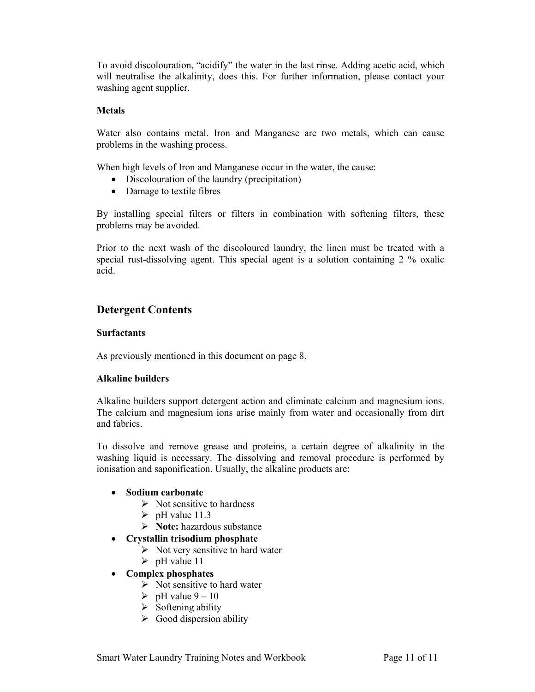To avoid discolouration, "acidify" the water in the last rinse. Adding acetic acid, which will neutralise the alkalinity, does this. For further information, please contact your washing agent supplier.

# **Metals**

Water also contains metal. Iron and Manganese are two metals, which can cause problems in the washing process.

When high levels of Iron and Manganese occur in the water, the cause:

- Discolouration of the laundry (precipitation)
- Damage to textile fibres

By installing special filters or filters in combination with softening filters, these problems may be avoided.

Prior to the next wash of the discoloured laundry, the linen must be treated with a special rust-dissolving agent. This special agent is a solution containing 2 % oxalic acid.

# **Detergent Contents**

# **Surfactants**

As previously mentioned in this document on page 8.

# **Alkaline builders**

Alkaline builders support detergent action and eliminate calcium and magnesium ions. The calcium and magnesium ions arise mainly from water and occasionally from dirt and fabrics.

To dissolve and remove grease and proteins, a certain degree of alkalinity in the washing liquid is necessary. The dissolving and removal procedure is performed by ionisation and saponification. Usually, the alkaline products are:

# • **Sodium carbonate**

- $\triangleright$  Not sensitive to hardness
- $\triangleright$  pH value 11.3
- ¾ **Note:** hazardous substance
- **Crystallin trisodium phosphate** 
	- $\triangleright$  Not very sensitive to hard water
	- $\triangleright$  pH value 11
- **Complex phosphates** 
	- $\triangleright$  Not sensitive to hard water
	- $\triangleright$  pH value 9 10
	- $\triangleright$  Softening ability
	- $\triangleright$  Good dispersion ability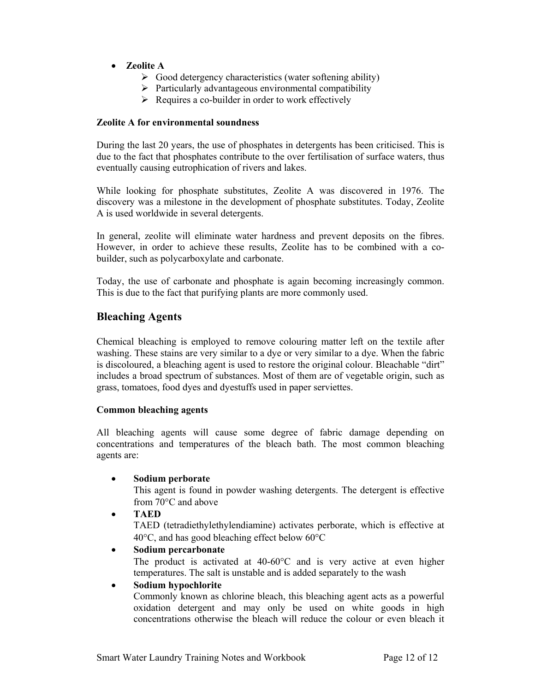# • **Zeolite A**

- $\triangleright$  Good detergency characteristics (water softening ability)
- $\triangleright$  Particularly advantageous environmental compatibility
- $\triangleright$  Requires a co-builder in order to work effectively

# **Zeolite A for environmental soundness**

During the last 20 years, the use of phosphates in detergents has been criticised. This is due to the fact that phosphates contribute to the over fertilisation of surface waters, thus eventually causing eutrophication of rivers and lakes.

While looking for phosphate substitutes, Zeolite A was discovered in 1976. The discovery was a milestone in the development of phosphate substitutes. Today, Zeolite A is used worldwide in several detergents.

In general, zeolite will eliminate water hardness and prevent deposits on the fibres. However, in order to achieve these results, Zeolite has to be combined with a cobuilder, such as polycarboxylate and carbonate.

Today, the use of carbonate and phosphate is again becoming increasingly common. This is due to the fact that purifying plants are more commonly used.

# **Bleaching Agents**

Chemical bleaching is employed to remove colouring matter left on the textile after washing. These stains are very similar to a dye or very similar to a dye. When the fabric is discoloured, a bleaching agent is used to restore the original colour. Bleachable "dirt" includes a broad spectrum of substances. Most of them are of vegetable origin, such as grass, tomatoes, food dyes and dyestuffs used in paper serviettes.

# **Common bleaching agents**

All bleaching agents will cause some degree of fabric damage depending on concentrations and temperatures of the bleach bath. The most common bleaching agents are:

# • **Sodium perborate**

This agent is found in powder washing detergents. The detergent is effective from 70°C and above

• **TAED** 

TAED (tetradiethylethylendiamine) activates perborate, which is effective at 40°C, and has good bleaching effect below 60°C

# • **Sodium percarbonate**

The product is activated at 40-60°C and is very active at even higher temperatures. The salt is unstable and is added separately to the wash

# • **Sodium hypochlorite**

Commonly known as chlorine bleach, this bleaching agent acts as a powerful oxidation detergent and may only be used on white goods in high concentrations otherwise the bleach will reduce the colour or even bleach it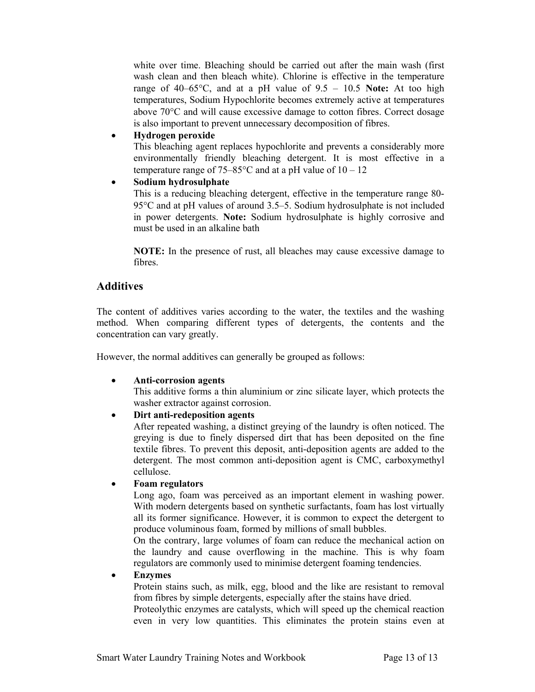white over time. Bleaching should be carried out after the main wash (first wash clean and then bleach white). Chlorine is effective in the temperature range of  $40-65^{\circ}$ C, and at a pH value of  $9.5 - 10.5$  **Note:** At too high temperatures, Sodium Hypochlorite becomes extremely active at temperatures above 70°C and will cause excessive damage to cotton fibres. Correct dosage is also important to prevent unnecessary decomposition of fibres.

# • **Hydrogen peroxide**

This bleaching agent replaces hypochlorite and prevents a considerably more environmentally friendly bleaching detergent. It is most effective in a temperature range of  $75-85^{\circ}$ C and at a pH value of  $10-12$ 

# • **Sodium hydrosulphate**

This is a reducing bleaching detergent, effective in the temperature range 80- 95°C and at pH values of around 3.5–5. Sodium hydrosulphate is not included in power detergents. **Note:** Sodium hydrosulphate is highly corrosive and must be used in an alkaline bath

**NOTE:** In the presence of rust, all bleaches may cause excessive damage to fibres.

# **Additives**

The content of additives varies according to the water, the textiles and the washing method. When comparing different types of detergents, the contents and the concentration can vary greatly.

However, the normal additives can generally be grouped as follows:

# • **Anti-corrosion agents**

This additive forms a thin aluminium or zinc silicate layer, which protects the washer extractor against corrosion.

# • **Dirt anti-redeposition agents**

After repeated washing, a distinct greying of the laundry is often noticed. The greying is due to finely dispersed dirt that has been deposited on the fine textile fibres. To prevent this deposit, anti-deposition agents are added to the detergent. The most common anti-deposition agent is CMC, carboxymethyl cellulose.

# • **Foam regulators**

Long ago, foam was perceived as an important element in washing power. With modern detergents based on synthetic surfactants, foam has lost virtually all its former significance. However, it is common to expect the detergent to produce voluminous foam, formed by millions of small bubbles.

On the contrary, large volumes of foam can reduce the mechanical action on the laundry and cause overflowing in the machine. This is why foam regulators are commonly used to minimise detergent foaming tendencies.

# • **Enzymes**

Protein stains such, as milk, egg, blood and the like are resistant to removal from fibres by simple detergents, especially after the stains have dried.

Proteolythic enzymes are catalysts, which will speed up the chemical reaction even in very low quantities. This eliminates the protein stains even at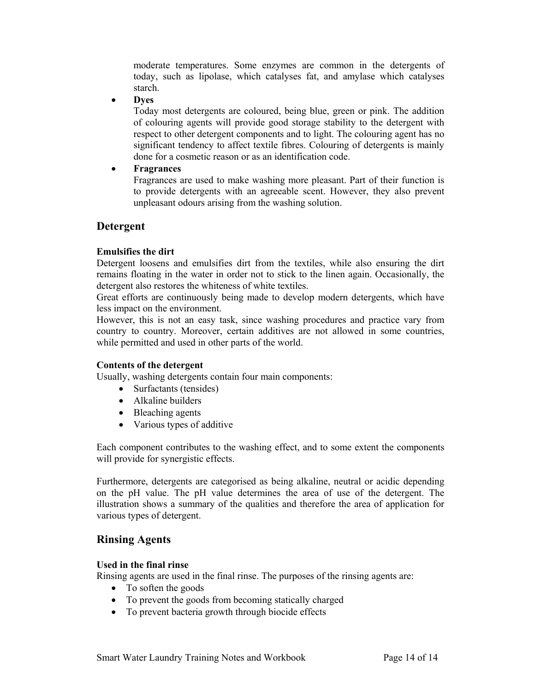moderate temperatures. Some enzymes are common in the detergents of today, such as lipolase, which catalyses fat, and amylase which catalyses starch.

• **Dyes**

Today most detergents are coloured, being blue, green or pink. The addition of colouring agents will provide good storage stability to the detergent with respect to other detergent components and to light. The colouring agent has no significant tendency to affect textile fibres. Colouring of detergents is mainly done for a cosmetic reason or as an identification code.

# • **Fragrances**

Fragrances are used to make washing more pleasant. Part of their function is to provide detergents with an agreeable scent. However, they also prevent unpleasant odours arising from the washing solution.

# **Detergent**

# **Emulsifies the dirt**

Detergent loosens and emulsifies dirt from the textiles, while also ensuring the dirt remains floating in the water in order not to stick to the linen again. Occasionally, the detergent also restores the whiteness of white textiles.

Great efforts are continuously being made to develop modern detergents, which have less impact on the environment.

However, this is not an easy task, since washing procedures and practice vary from country to country. Moreover, certain additives are not allowed in some countries, while permitted and used in other parts of the world.

# **Contents of the detergent**

Usually, washing detergents contain four main components:

- Surfactants (tensides)
- Alkaline builders
- Bleaching agents
- Various types of additive

Each component contributes to the washing effect, and to some extent the components will provide for synergistic effects.

Furthermore, detergents are categorised as being alkaline, neutral or acidic depending on the pH value. The pH value determines the area of use of the detergent. The illustration shows a summary of the qualities and therefore the area of application for various types of detergent.

# **Rinsing Agents**

# **Used in the final rinse**

Rinsing agents are used in the final rinse. The purposes of the rinsing agents are:

- To soften the goods
- To prevent the goods from becoming statically charged
- To prevent bacteria growth through biocide effects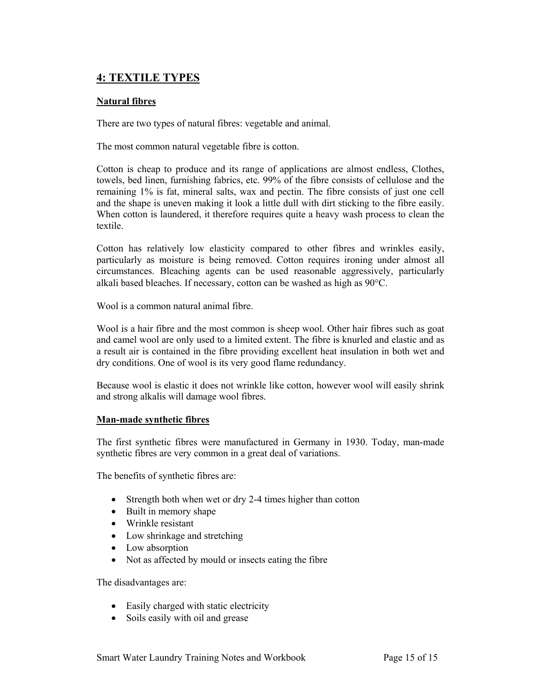# **4: TEXTILE TYPES**

# **Natural fibres**

There are two types of natural fibres: vegetable and animal.

The most common natural vegetable fibre is cotton.

Cotton is cheap to produce and its range of applications are almost endless, Clothes, towels, bed linen, furnishing fabrics, etc. 99% of the fibre consists of cellulose and the remaining 1% is fat, mineral salts, wax and pectin. The fibre consists of just one cell and the shape is uneven making it look a little dull with dirt sticking to the fibre easily. When cotton is laundered, it therefore requires quite a heavy wash process to clean the textile.

Cotton has relatively low elasticity compared to other fibres and wrinkles easily, particularly as moisture is being removed. Cotton requires ironing under almost all circumstances. Bleaching agents can be used reasonable aggressively, particularly alkali based bleaches. If necessary, cotton can be washed as high as 90°C.

Wool is a common natural animal fibre.

Wool is a hair fibre and the most common is sheep wool. Other hair fibres such as goat and camel wool are only used to a limited extent. The fibre is knurled and elastic and as a result air is contained in the fibre providing excellent heat insulation in both wet and dry conditions. One of wool is its very good flame redundancy.

Because wool is elastic it does not wrinkle like cotton, however wool will easily shrink and strong alkalis will damage wool fibres.

# **Man-made synthetic fibres**

The first synthetic fibres were manufactured in Germany in 1930. Today, man-made synthetic fibres are very common in a great deal of variations.

The benefits of synthetic fibres are:

- Strength both when wet or dry 2-4 times higher than cotton
- Built in memory shape
- Wrinkle resistant
- Low shrinkage and stretching
- Low absorption
- Not as affected by mould or insects eating the fibre

The disadvantages are:

- Easily charged with static electricity
- Soils easily with oil and grease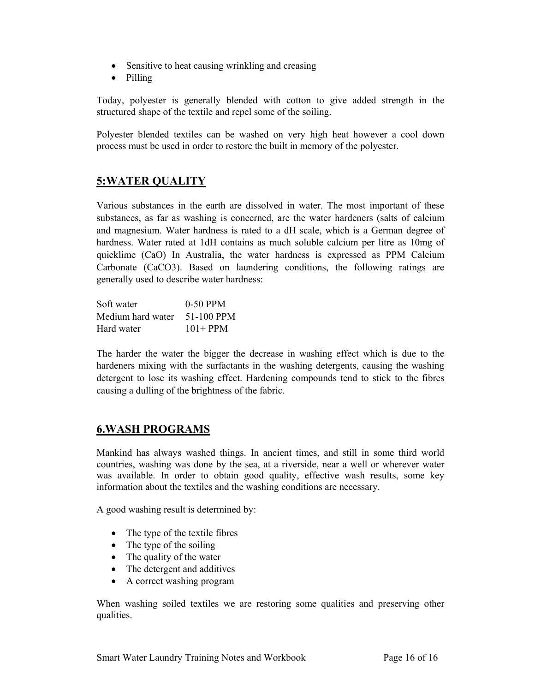- Sensitive to heat causing wrinkling and creasing
- Pilling

Today, polyester is generally blended with cotton to give added strength in the structured shape of the textile and repel some of the soiling.

Polyester blended textiles can be washed on very high heat however a cool down process must be used in order to restore the built in memory of the polyester.

# **5:WATER QUALITY**

Various substances in the earth are dissolved in water. The most important of these substances, as far as washing is concerned, are the water hardeners (salts of calcium and magnesium. Water hardness is rated to a dH scale, which is a German degree of hardness. Water rated at 1dH contains as much soluble calcium per litre as 10mg of quicklime (CaO) In Australia, the water hardness is expressed as PPM Calcium Carbonate (CaCO3). Based on laundering conditions, the following ratings are generally used to describe water hardness:

| Soft water        | $0-50$ PPM  |
|-------------------|-------------|
| Medium hard water | 51-100 PPM  |
| Hard water        | $101 + PPM$ |

The harder the water the bigger the decrease in washing effect which is due to the hardeners mixing with the surfactants in the washing detergents, causing the washing detergent to lose its washing effect. Hardening compounds tend to stick to the fibres causing a dulling of the brightness of the fabric.

# **6.WASH PROGRAMS**

Mankind has always washed things. In ancient times, and still in some third world countries, washing was done by the sea, at a riverside, near a well or wherever water was available. In order to obtain good quality, effective wash results, some key information about the textiles and the washing conditions are necessary.

A good washing result is determined by:

- The type of the textile fibres
- The type of the soiling
- The quality of the water
- The detergent and additives
- A correct washing program

When washing soiled textiles we are restoring some qualities and preserving other qualities.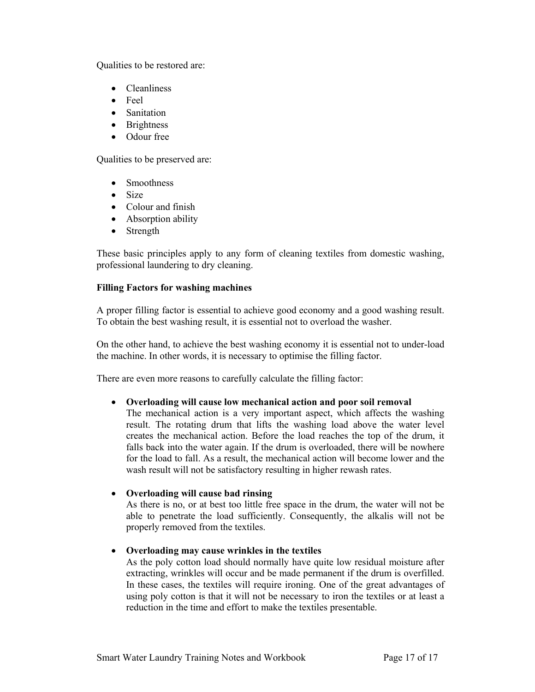Qualities to be restored are:

- Cleanliness
- $\bullet$  Feel
- Sanitation
- Brightness
- Odour free

Qualities to be preserved are:

- Smoothness
- Size
- Colour and finish
- Absorption ability
- Strength

These basic principles apply to any form of cleaning textiles from domestic washing, professional laundering to dry cleaning.

# **Filling Factors for washing machines**

A proper filling factor is essential to achieve good economy and a good washing result. To obtain the best washing result, it is essential not to overload the washer.

On the other hand, to achieve the best washing economy it is essential not to under-load the machine. In other words, it is necessary to optimise the filling factor.

There are even more reasons to carefully calculate the filling factor:

# • **Overloading will cause low mechanical action and poor soil removal**

The mechanical action is a very important aspect, which affects the washing result. The rotating drum that lifts the washing load above the water level creates the mechanical action. Before the load reaches the top of the drum, it falls back into the water again. If the drum is overloaded, there will be nowhere for the load to fall. As a result, the mechanical action will become lower and the wash result will not be satisfactory resulting in higher rewash rates.

# • **Overloading will cause bad rinsing**

As there is no, or at best too little free space in the drum, the water will not be able to penetrate the load sufficiently. Consequently, the alkalis will not be properly removed from the textiles.

# • **Overloading may cause wrinkles in the textiles**

As the poly cotton load should normally have quite low residual moisture after extracting, wrinkles will occur and be made permanent if the drum is overfilled. In these cases, the textiles will require ironing. One of the great advantages of using poly cotton is that it will not be necessary to iron the textiles or at least a reduction in the time and effort to make the textiles presentable.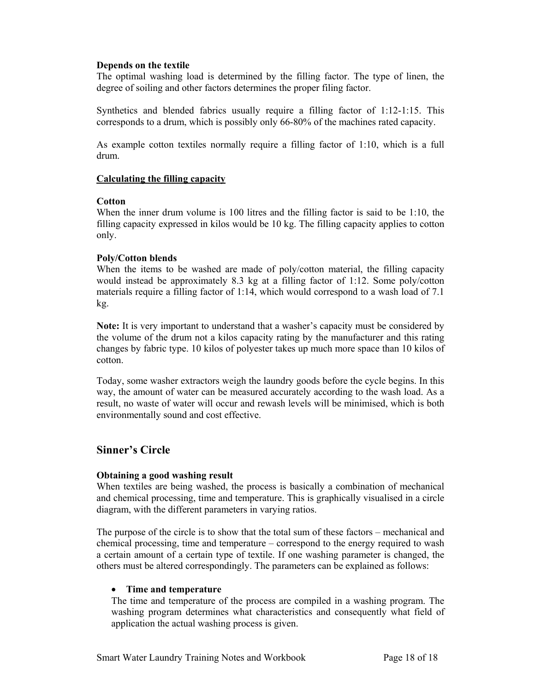# **Depends on the textile**

The optimal washing load is determined by the filling factor. The type of linen, the degree of soiling and other factors determines the proper filing factor.

Synthetics and blended fabrics usually require a filling factor of 1:12-1:15. This corresponds to a drum, which is possibly only 66-80% of the machines rated capacity.

As example cotton textiles normally require a filling factor of 1:10, which is a full drum.

# **Calculating the filling capacity**

# **Cotton**

When the inner drum volume is 100 litres and the filling factor is said to be 1:10, the filling capacity expressed in kilos would be 10 kg. The filling capacity applies to cotton only.

# **Poly/Cotton blends**

When the items to be washed are made of poly/cotton material, the filling capacity would instead be approximately 8.3 kg at a filling factor of 1:12. Some poly/cotton materials require a filling factor of 1:14, which would correspond to a wash load of 7.1 kg.

**Note:** It is very important to understand that a washer's capacity must be considered by the volume of the drum not a kilos capacity rating by the manufacturer and this rating changes by fabric type. 10 kilos of polyester takes up much more space than 10 kilos of cotton.

Today, some washer extractors weigh the laundry goods before the cycle begins. In this way, the amount of water can be measured accurately according to the wash load. As a result, no waste of water will occur and rewash levels will be minimised, which is both environmentally sound and cost effective.

# **Sinner's Circle**

# **Obtaining a good washing result**

When textiles are being washed, the process is basically a combination of mechanical and chemical processing, time and temperature. This is graphically visualised in a circle diagram, with the different parameters in varying ratios.

The purpose of the circle is to show that the total sum of these factors – mechanical and chemical processing, time and temperature – correspond to the energy required to wash a certain amount of a certain type of textile. If one washing parameter is changed, the others must be altered correspondingly. The parameters can be explained as follows:

# • **Time and temperature**

The time and temperature of the process are compiled in a washing program. The washing program determines what characteristics and consequently what field of application the actual washing process is given.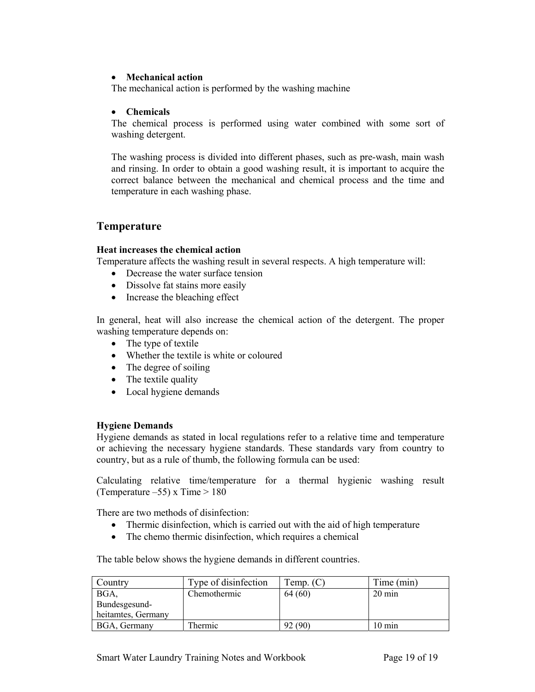# • **Mechanical action**

The mechanical action is performed by the washing machine

# • **Chemicals**

The chemical process is performed using water combined with some sort of washing detergent.

The washing process is divided into different phases, such as pre-wash, main wash and rinsing. In order to obtain a good washing result, it is important to acquire the correct balance between the mechanical and chemical process and the time and temperature in each washing phase.

# **Temperature**

# **Heat increases the chemical action**

Temperature affects the washing result in several respects. A high temperature will:

- Decrease the water surface tension
- Dissolve fat stains more easily
- Increase the bleaching effect

In general, heat will also increase the chemical action of the detergent. The proper washing temperature depends on:

- The type of textile
- Whether the textile is white or coloured
- The degree of soiling
- The textile quality
- Local hygiene demands

# **Hygiene Demands**

Hygiene demands as stated in local regulations refer to a relative time and temperature or achieving the necessary hygiene standards. These standards vary from country to country, but as a rule of thumb, the following formula can be used:

Calculating relative time/temperature for a thermal hygienic washing result (Temperature –55) x Time  $> 180$ 

There are two methods of disinfection:

- Thermic disinfection, which is carried out with the aid of high temperature
- The chemo thermic disinfection, which requires a chemical

The table below shows the hygiene demands in different countries.

| Country            | Type of disinfection | Temp. $(C)$ | Time (min)       |
|--------------------|----------------------|-------------|------------------|
| BGA,               | Chemothermic         | 64 (60)     | $20 \text{ min}$ |
| Bundesgesund-      |                      |             |                  |
| heitamtes, Germany |                      |             |                  |
| BGA, Germany       | Thermic              | 92 (90)     | $10 \text{ min}$ |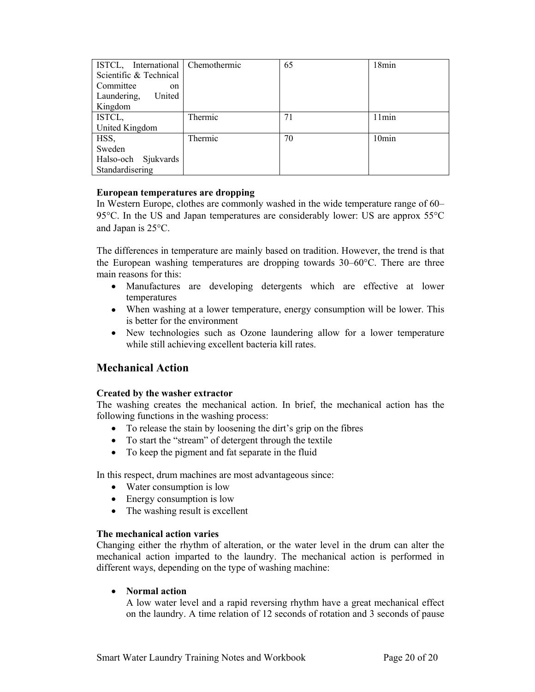| ISTCL, International Chemothermic |         | 65 | 18min             |
|-----------------------------------|---------|----|-------------------|
| Scientific & Technical            |         |    |                   |
| Committee<br><sub>on</sub>        |         |    |                   |
| United<br>Laundering,             |         |    |                   |
| Kingdom                           |         |    |                   |
| ISTCL,                            | Thermic | 71 | 11min             |
| United Kingdom                    |         |    |                   |
| HSS,                              | Thermic | 70 | 10 <sub>min</sub> |
| Sweden                            |         |    |                   |
| Halso-och Sjukvards               |         |    |                   |
| Standardisering                   |         |    |                   |

# **European temperatures are dropping**

In Western Europe, clothes are commonly washed in the wide temperature range of 60– 95°C. In the US and Japan temperatures are considerably lower: US are approx 55°C and Japan is 25°C.

The differences in temperature are mainly based on tradition. However, the trend is that the European washing temperatures are dropping towards 30–60°C. There are three main reasons for this:

- Manufactures are developing detergents which are effective at lower temperatures
- When washing at a lower temperature, energy consumption will be lower. This is better for the environment
- New technologies such as Ozone laundering allow for a lower temperature while still achieving excellent bacteria kill rates.

# **Mechanical Action**

# **Created by the washer extractor**

The washing creates the mechanical action. In brief, the mechanical action has the following functions in the washing process:

- To release the stain by loosening the dirt's grip on the fibres
- To start the "stream" of detergent through the textile
- To keep the pigment and fat separate in the fluid

In this respect, drum machines are most advantageous since:

- Water consumption is low
- Energy consumption is low
- The washing result is excellent

# **The mechanical action varies**

Changing either the rhythm of alteration, or the water level in the drum can alter the mechanical action imparted to the laundry. The mechanical action is performed in different ways, depending on the type of washing machine:

# • **Normal action**

A low water level and a rapid reversing rhythm have a great mechanical effect on the laundry. A time relation of 12 seconds of rotation and 3 seconds of pause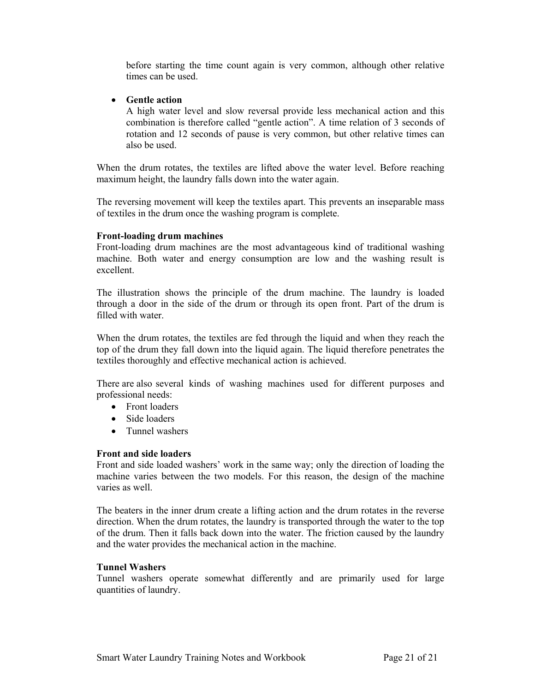before starting the time count again is very common, although other relative times can be used.

• **Gentle action**

A high water level and slow reversal provide less mechanical action and this combination is therefore called "gentle action". A time relation of 3 seconds of rotation and 12 seconds of pause is very common, but other relative times can also be used.

When the drum rotates, the textiles are lifted above the water level. Before reaching maximum height, the laundry falls down into the water again.

The reversing movement will keep the textiles apart. This prevents an inseparable mass of textiles in the drum once the washing program is complete.

# **Front-loading drum machines**

Front-loading drum machines are the most advantageous kind of traditional washing machine. Both water and energy consumption are low and the washing result is excellent.

The illustration shows the principle of the drum machine. The laundry is loaded through a door in the side of the drum or through its open front. Part of the drum is filled with water

When the drum rotates, the textiles are fed through the liquid and when they reach the top of the drum they fall down into the liquid again. The liquid therefore penetrates the textiles thoroughly and effective mechanical action is achieved.

There are also several kinds of washing machines used for different purposes and professional needs:

- Front loaders
- Side loaders
- Tunnel washers

# **Front and side loaders**

Front and side loaded washers' work in the same way; only the direction of loading the machine varies between the two models. For this reason, the design of the machine varies as well.

The beaters in the inner drum create a lifting action and the drum rotates in the reverse direction. When the drum rotates, the laundry is transported through the water to the top of the drum. Then it falls back down into the water. The friction caused by the laundry and the water provides the mechanical action in the machine.

# **Tunnel Washers**

Tunnel washers operate somewhat differently and are primarily used for large quantities of laundry.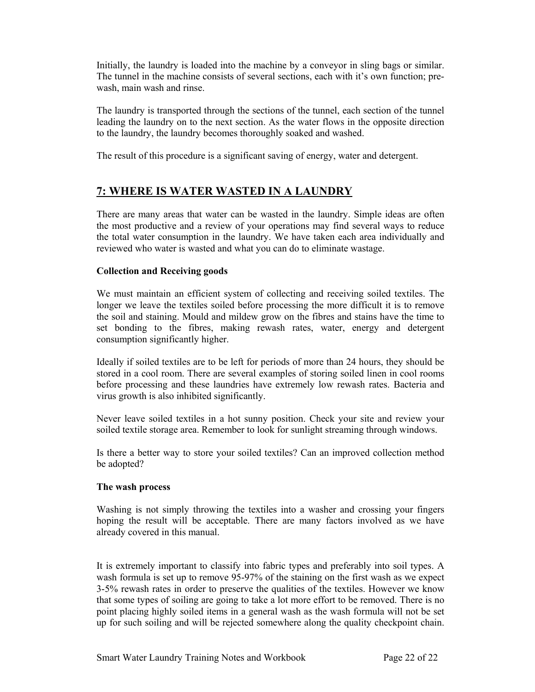Initially, the laundry is loaded into the machine by a conveyor in sling bags or similar. The tunnel in the machine consists of several sections, each with it's own function; prewash, main wash and rinse.

The laundry is transported through the sections of the tunnel, each section of the tunnel leading the laundry on to the next section. As the water flows in the opposite direction to the laundry, the laundry becomes thoroughly soaked and washed.

The result of this procedure is a significant saving of energy, water and detergent.

# **7: WHERE IS WATER WASTED IN A LAUNDRY**

There are many areas that water can be wasted in the laundry. Simple ideas are often the most productive and a review of your operations may find several ways to reduce the total water consumption in the laundry. We have taken each area individually and reviewed who water is wasted and what you can do to eliminate wastage.

# **Collection and Receiving goods**

We must maintain an efficient system of collecting and receiving soiled textiles. The longer we leave the textiles soiled before processing the more difficult it is to remove the soil and staining. Mould and mildew grow on the fibres and stains have the time to set bonding to the fibres, making rewash rates, water, energy and detergent consumption significantly higher.

Ideally if soiled textiles are to be left for periods of more than 24 hours, they should be stored in a cool room. There are several examples of storing soiled linen in cool rooms before processing and these laundries have extremely low rewash rates. Bacteria and virus growth is also inhibited significantly.

Never leave soiled textiles in a hot sunny position. Check your site and review your soiled textile storage area. Remember to look for sunlight streaming through windows.

Is there a better way to store your soiled textiles? Can an improved collection method be adopted?

# **The wash process**

Washing is not simply throwing the textiles into a washer and crossing your fingers hoping the result will be acceptable. There are many factors involved as we have already covered in this manual.

It is extremely important to classify into fabric types and preferably into soil types. A wash formula is set up to remove 95-97% of the staining on the first wash as we expect 3-5% rewash rates in order to preserve the qualities of the textiles. However we know that some types of soiling are going to take a lot more effort to be removed. There is no point placing highly soiled items in a general wash as the wash formula will not be set up for such soiling and will be rejected somewhere along the quality checkpoint chain.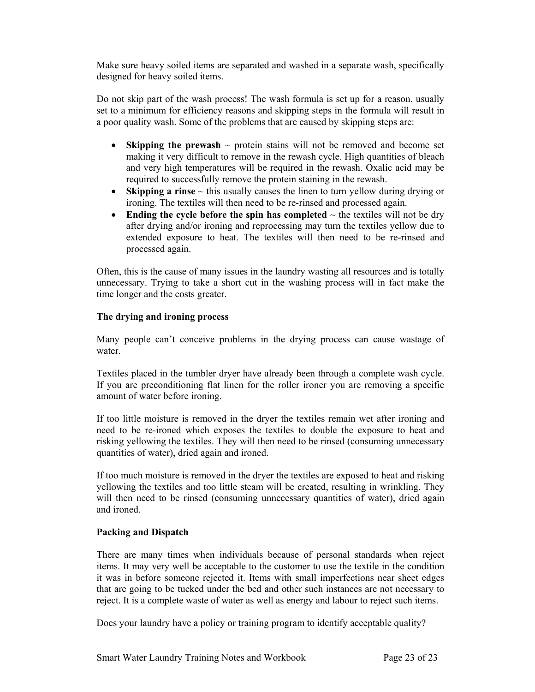Make sure heavy soiled items are separated and washed in a separate wash, specifically designed for heavy soiled items.

Do not skip part of the wash process! The wash formula is set up for a reason, usually set to a minimum for efficiency reasons and skipping steps in the formula will result in a poor quality wash. Some of the problems that are caused by skipping steps are:

- **Skipping the prewash**  $\sim$  protein stains will not be removed and become set making it very difficult to remove in the rewash cycle. High quantities of bleach and very high temperatures will be required in the rewash. Oxalic acid may be required to successfully remove the protein staining in the rewash.
- **Skipping a rinse** ~ this usually causes the linen to turn yellow during drying or ironing. The textiles will then need to be re-rinsed and processed again.
- **Ending the cycle before the spin has completed**  $\sim$  the textiles will not be dry after drying and/or ironing and reprocessing may turn the textiles yellow due to extended exposure to heat. The textiles will then need to be re-rinsed and processed again.

Often, this is the cause of many issues in the laundry wasting all resources and is totally unnecessary. Trying to take a short cut in the washing process will in fact make the time longer and the costs greater.

# **The drying and ironing process**

Many people can't conceive problems in the drying process can cause wastage of water.

Textiles placed in the tumbler dryer have already been through a complete wash cycle. If you are preconditioning flat linen for the roller ironer you are removing a specific amount of water before ironing.

If too little moisture is removed in the dryer the textiles remain wet after ironing and need to be re-ironed which exposes the textiles to double the exposure to heat and risking yellowing the textiles. They will then need to be rinsed (consuming unnecessary quantities of water), dried again and ironed.

If too much moisture is removed in the dryer the textiles are exposed to heat and risking yellowing the textiles and too little steam will be created, resulting in wrinkling. They will then need to be rinsed (consuming unnecessary quantities of water), dried again and ironed.

# **Packing and Dispatch**

There are many times when individuals because of personal standards when reject items. It may very well be acceptable to the customer to use the textile in the condition it was in before someone rejected it. Items with small imperfections near sheet edges that are going to be tucked under the bed and other such instances are not necessary to reject. It is a complete waste of water as well as energy and labour to reject such items.

Does your laundry have a policy or training program to identify acceptable quality?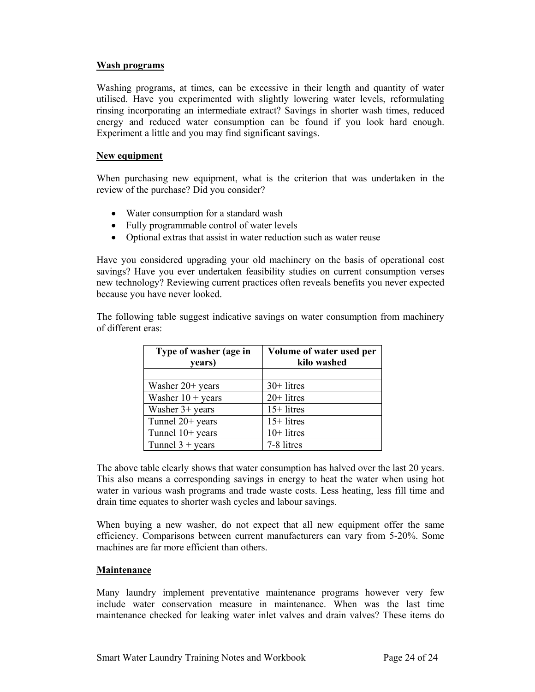# **Wash programs**

Washing programs, at times, can be excessive in their length and quantity of water utilised. Have you experimented with slightly lowering water levels, reformulating rinsing incorporating an intermediate extract? Savings in shorter wash times, reduced energy and reduced water consumption can be found if you look hard enough. Experiment a little and you may find significant savings.

# **New equipment**

When purchasing new equipment, what is the criterion that was undertaken in the review of the purchase? Did you consider?

- Water consumption for a standard wash
- Fully programmable control of water levels
- Optional extras that assist in water reduction such as water reuse

Have you considered upgrading your old machinery on the basis of operational cost savings? Have you ever undertaken feasibility studies on current consumption verses new technology? Reviewing current practices often reveals benefits you never expected because you have never looked.

The following table suggest indicative savings on water consumption from machinery of different eras:

| Type of washer (age in<br>years) | Volume of water used per<br>kilo washed |
|----------------------------------|-----------------------------------------|
|                                  |                                         |
| Washer $20+$ years               | $30+$ litres                            |
| Washer $10 + \text{years}$       | $20+$ litres                            |
| Washer $3+$ years                | $15+$ litres                            |
| Tunnel $20+$ years               | $15+$ litres                            |
| Tunnel 10+ years                 | $10+$ litres                            |
| Tunnel $3 + \text{years}$        | 7-8 litres                              |

The above table clearly shows that water consumption has halved over the last 20 years. This also means a corresponding savings in energy to heat the water when using hot water in various wash programs and trade waste costs. Less heating, less fill time and drain time equates to shorter wash cycles and labour savings.

When buying a new washer, do not expect that all new equipment offer the same efficiency. Comparisons between current manufacturers can vary from 5-20%. Some machines are far more efficient than others.

# **Maintenance**

Many laundry implement preventative maintenance programs however very few include water conservation measure in maintenance. When was the last time maintenance checked for leaking water inlet valves and drain valves? These items do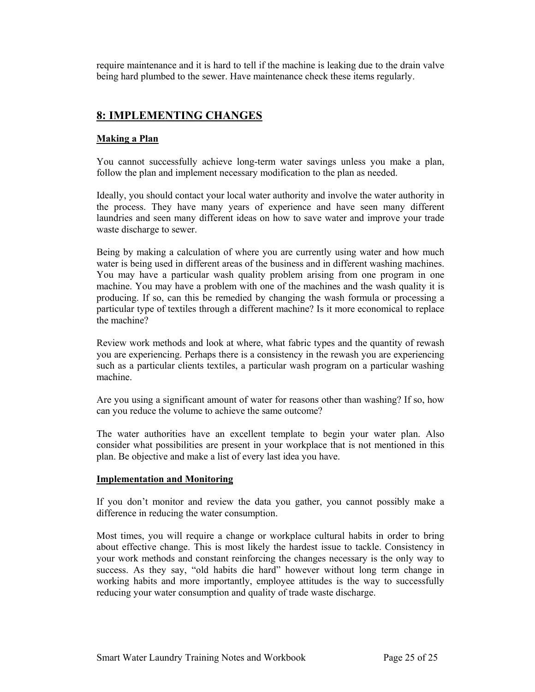require maintenance and it is hard to tell if the machine is leaking due to the drain valve being hard plumbed to the sewer. Have maintenance check these items regularly.

# **8: IMPLEMENTING CHANGES**

# **Making a Plan**

You cannot successfully achieve long-term water savings unless you make a plan, follow the plan and implement necessary modification to the plan as needed.

Ideally, you should contact your local water authority and involve the water authority in the process. They have many years of experience and have seen many different laundries and seen many different ideas on how to save water and improve your trade waste discharge to sewer.

Being by making a calculation of where you are currently using water and how much water is being used in different areas of the business and in different washing machines. You may have a particular wash quality problem arising from one program in one machine. You may have a problem with one of the machines and the wash quality it is producing. If so, can this be remedied by changing the wash formula or processing a particular type of textiles through a different machine? Is it more economical to replace the machine?

Review work methods and look at where, what fabric types and the quantity of rewash you are experiencing. Perhaps there is a consistency in the rewash you are experiencing such as a particular clients textiles, a particular wash program on a particular washing machine.

Are you using a significant amount of water for reasons other than washing? If so, how can you reduce the volume to achieve the same outcome?

The water authorities have an excellent template to begin your water plan. Also consider what possibilities are present in your workplace that is not mentioned in this plan. Be objective and make a list of every last idea you have.

# **Implementation and Monitoring**

If you don't monitor and review the data you gather, you cannot possibly make a difference in reducing the water consumption.

Most times, you will require a change or workplace cultural habits in order to bring about effective change. This is most likely the hardest issue to tackle. Consistency in your work methods and constant reinforcing the changes necessary is the only way to success. As they say, "old habits die hard" however without long term change in working habits and more importantly, employee attitudes is the way to successfully reducing your water consumption and quality of trade waste discharge.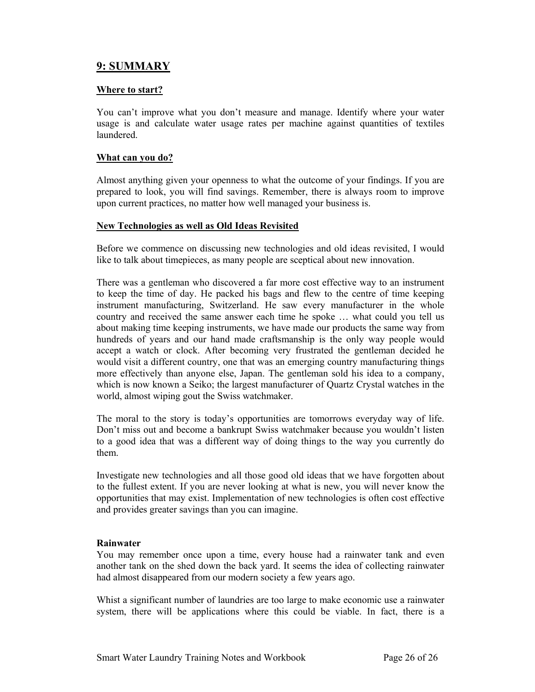# **9: SUMMARY**

# **Where to start?**

You can't improve what you don't measure and manage. Identify where your water usage is and calculate water usage rates per machine against quantities of textiles laundered.

# **What can you do?**

Almost anything given your openness to what the outcome of your findings. If you are prepared to look, you will find savings. Remember, there is always room to improve upon current practices, no matter how well managed your business is.

# **New Technologies as well as Old Ideas Revisited**

Before we commence on discussing new technologies and old ideas revisited, I would like to talk about timepieces, as many people are sceptical about new innovation.

There was a gentleman who discovered a far more cost effective way to an instrument to keep the time of day. He packed his bags and flew to the centre of time keeping instrument manufacturing, Switzerland. He saw every manufacturer in the whole country and received the same answer each time he spoke … what could you tell us about making time keeping instruments, we have made our products the same way from hundreds of years and our hand made craftsmanship is the only way people would accept a watch or clock. After becoming very frustrated the gentleman decided he would visit a different country, one that was an emerging country manufacturing things more effectively than anyone else, Japan. The gentleman sold his idea to a company, which is now known a Seiko; the largest manufacturer of Quartz Crystal watches in the world, almost wiping gout the Swiss watchmaker.

The moral to the story is today's opportunities are tomorrows everyday way of life. Don't miss out and become a bankrupt Swiss watchmaker because you wouldn't listen to a good idea that was a different way of doing things to the way you currently do them.

Investigate new technologies and all those good old ideas that we have forgotten about to the fullest extent. If you are never looking at what is new, you will never know the opportunities that may exist. Implementation of new technologies is often cost effective and provides greater savings than you can imagine.

# **Rainwater**

You may remember once upon a time, every house had a rainwater tank and even another tank on the shed down the back yard. It seems the idea of collecting rainwater had almost disappeared from our modern society a few years ago.

Whist a significant number of laundries are too large to make economic use a rainwater system, there will be applications where this could be viable. In fact, there is a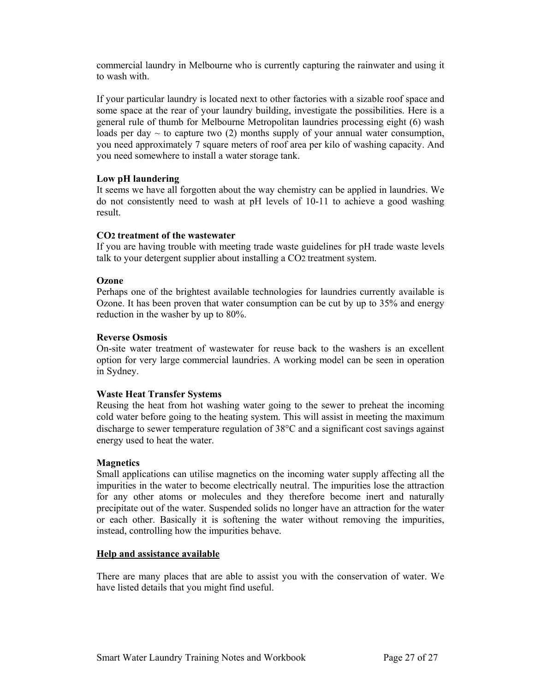commercial laundry in Melbourne who is currently capturing the rainwater and using it to wash with.

If your particular laundry is located next to other factories with a sizable roof space and some space at the rear of your laundry building, investigate the possibilities. Here is a general rule of thumb for Melbourne Metropolitan laundries processing eight (6) wash loads per day  $\sim$  to capture two (2) months supply of your annual water consumption, you need approximately 7 square meters of roof area per kilo of washing capacity. And you need somewhere to install a water storage tank.

# **Low pH laundering**

It seems we have all forgotten about the way chemistry can be applied in laundries. We do not consistently need to wash at pH levels of 10-11 to achieve a good washing result.

# **CO2 treatment of the wastewater**

If you are having trouble with meeting trade waste guidelines for pH trade waste levels talk to your detergent supplier about installing a CO2 treatment system.

# **Ozone**

Perhaps one of the brightest available technologies for laundries currently available is Ozone. It has been proven that water consumption can be cut by up to 35% and energy reduction in the washer by up to 80%.

# **Reverse Osmosis**

On-site water treatment of wastewater for reuse back to the washers is an excellent option for very large commercial laundries. A working model can be seen in operation in Sydney.

# **Waste Heat Transfer Systems**

Reusing the heat from hot washing water going to the sewer to preheat the incoming cold water before going to the heating system. This will assist in meeting the maximum discharge to sewer temperature regulation of 38°C and a significant cost savings against energy used to heat the water.

# **Magnetics**

Small applications can utilise magnetics on the incoming water supply affecting all the impurities in the water to become electrically neutral. The impurities lose the attraction for any other atoms or molecules and they therefore become inert and naturally precipitate out of the water. Suspended solids no longer have an attraction for the water or each other. Basically it is softening the water without removing the impurities, instead, controlling how the impurities behave.

# **Help and assistance available**

There are many places that are able to assist you with the conservation of water. We have listed details that you might find useful.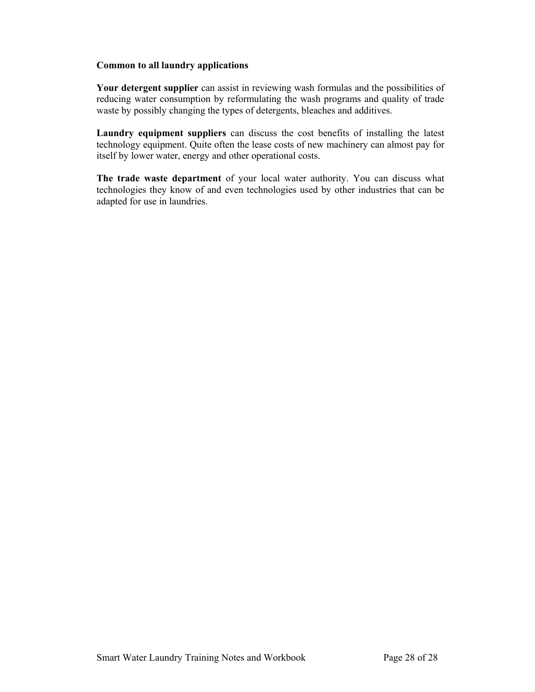# **Common to all laundry applications**

**Your detergent supplier** can assist in reviewing wash formulas and the possibilities of reducing water consumption by reformulating the wash programs and quality of trade waste by possibly changing the types of detergents, bleaches and additives.

**Laundry equipment suppliers** can discuss the cost benefits of installing the latest technology equipment. Quite often the lease costs of new machinery can almost pay for itself by lower water, energy and other operational costs.

**The trade waste department** of your local water authority. You can discuss what technologies they know of and even technologies used by other industries that can be adapted for use in laundries.